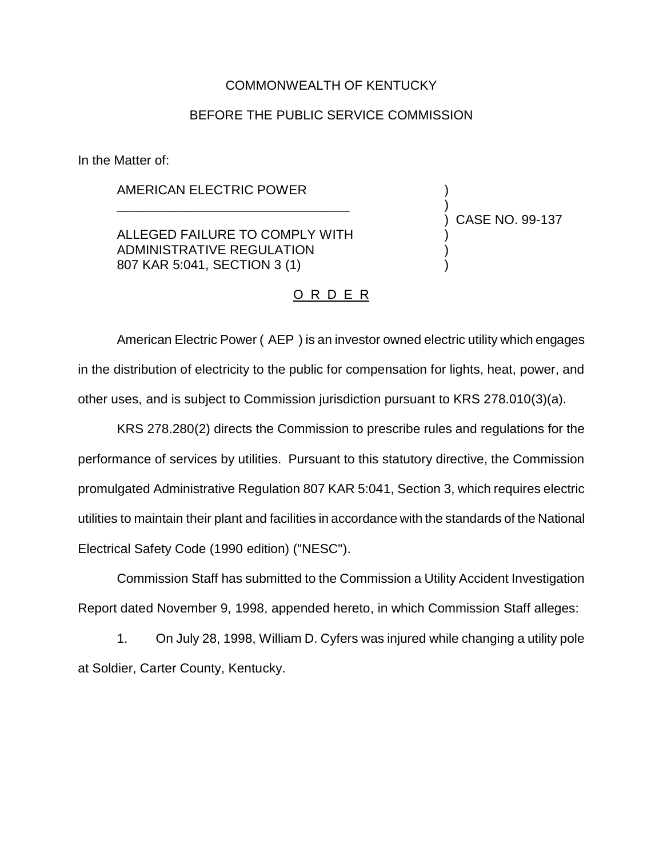# COMMONWEALTH OF KENTUCKY

# BEFORE THE PUBLIC SERVICE COMMISSION

In the Matter of:

## AMERICAN ELECTRIC POWER

ALLEGED FAILURE TO COMPLY WITH ADMINISTRATIVE REGULATION 807 KAR 5:041, SECTION 3 (1)

\_\_\_\_\_\_\_\_\_\_\_\_\_\_\_\_\_\_\_\_\_\_\_\_\_\_\_\_\_\_\_\_

) CASE NO. 99-137

) )

) ) )

#### O R D E R

American Electric Power ( AEP ) is an investor owned electric utility which engages in the distribution of electricity to the public for compensation for lights, heat, power, and other uses, and is subject to Commission jurisdiction pursuant to KRS 278.010(3)(a).

KRS 278.280(2) directs the Commission to prescribe rules and regulations for the performance of services by utilities. Pursuant to this statutory directive, the Commission promulgated Administrative Regulation 807 KAR 5:041, Section 3, which requires electric utilities to maintain their plant and facilities in accordance with the standards of the National Electrical Safety Code (1990 edition) ("NESC").

Commission Staff has submitted to the Commission a Utility Accident Investigation Report dated November 9, 1998, appended hereto, in which Commission Staff alleges:

1. On July 28, 1998, William D. Cyfers was injured while changing a utility pole at Soldier, Carter County, Kentucky.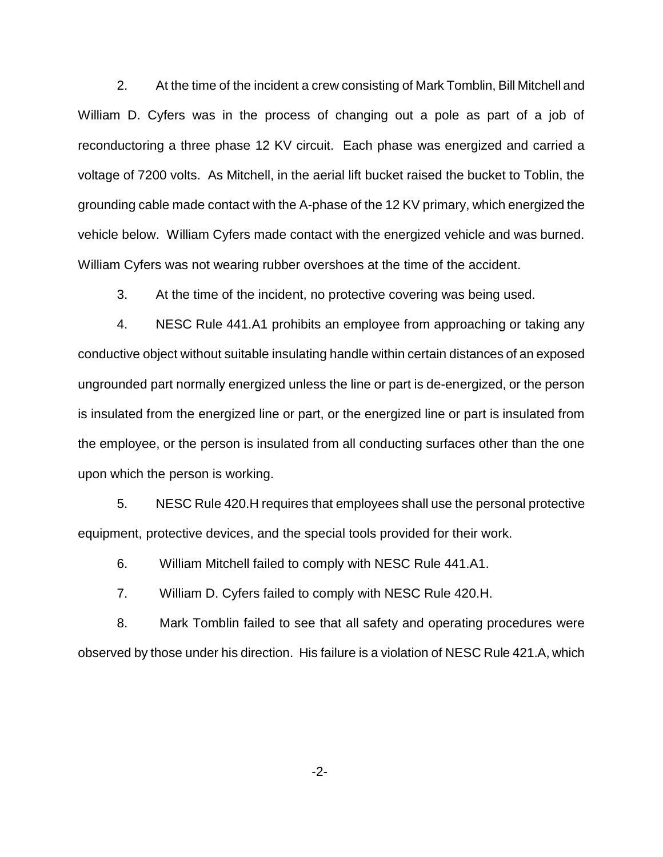2. At the time of the incident a crew consisting of Mark Tomblin, Bill Mitchell and William D. Cyfers was in the process of changing out a pole as part of a job of reconductoring a three phase 12 KV circuit. Each phase was energized and carried a voltage of 7200 volts. As Mitchell, in the aerial lift bucket raised the bucket to Toblin, the grounding cable made contact with the A-phase of the 12 KV primary, which energized the vehicle below. William Cyfers made contact with the energized vehicle and was burned. William Cyfers was not wearing rubber overshoes at the time of the accident.

3. At the time of the incident, no protective covering was being used.

4. NESC Rule 441.A1 prohibits an employee from approaching or taking any conductive object without suitable insulating handle within certain distances of an exposed ungrounded part normally energized unless the line or part is de-energized, or the person is insulated from the energized line or part, or the energized line or part is insulated from the employee, or the person is insulated from all conducting surfaces other than the one upon which the person is working.

5. NESC Rule 420.H requires that employees shall use the personal protective equipment, protective devices, and the special tools provided for their work.

6. William Mitchell failed to comply with NESC Rule 441.A1.

7. William D. Cyfers failed to comply with NESC Rule 420.H.

8. Mark Tomblin failed to see that all safety and operating procedures were observed by those under his direction. His failure is a violation of NESC Rule 421.A, which

-2-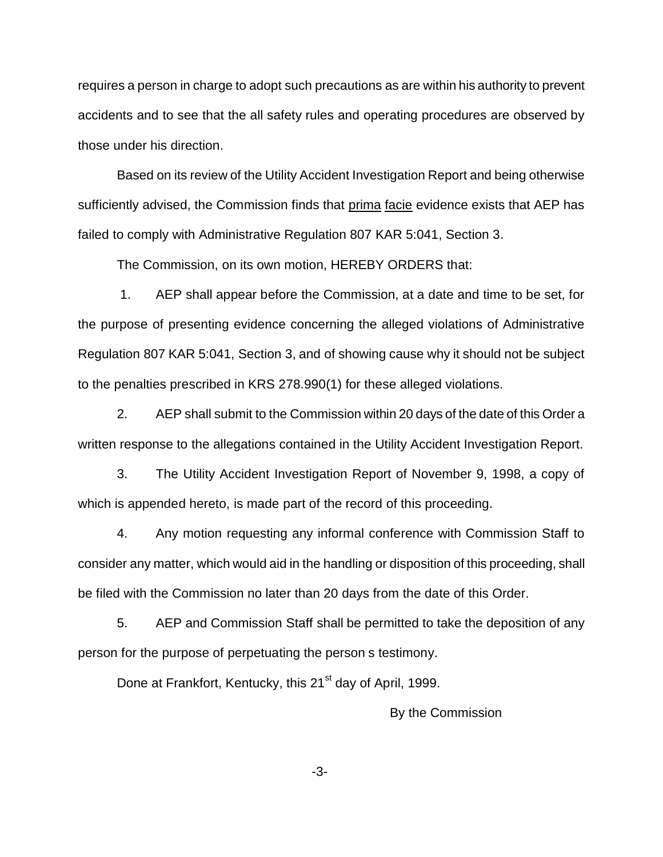requires a person in charge to adopt such precautions as are within his authority to prevent accidents and to see that the all safety rules and operating procedures are observed by those under his direction.

Based on its review of the Utility Accident Investigation Report and being otherwise sufficiently advised, the Commission finds that prima facie evidence exists that AEP has failed to comply with Administrative Regulation 807 KAR 5:041, Section 3.

The Commission, on its own motion, HEREBY ORDERS that:

1. AEP shall appear before the Commission, at a date and time to be set, for the purpose of presenting evidence concerning the alleged violations of Administrative Regulation 807 KAR 5:041, Section 3, and of showing cause why it should not be subject to the penalties prescribed in KRS 278.990(1) for these alleged violations.

2. AEP shall submit to the Commission within 20 days of the date of this Order a written response to the allegations contained in the Utility Accident Investigation Report.

3. The Utility Accident Investigation Report of November 9, 1998, a copy of which is appended hereto, is made part of the record of this proceeding.

4. Any motion requesting any informal conference with Commission Staff to consider any matter, which would aid in the handling or disposition of this proceeding, shall be filed with the Commission no later than 20 days from the date of this Order.

5. AEP and Commission Staff shall be permitted to take the deposition of any person for the purpose of perpetuating the person s testimony.

Done at Frankfort, Kentucky, this 21<sup>st</sup> day of April, 1999.

By the Commission

-3-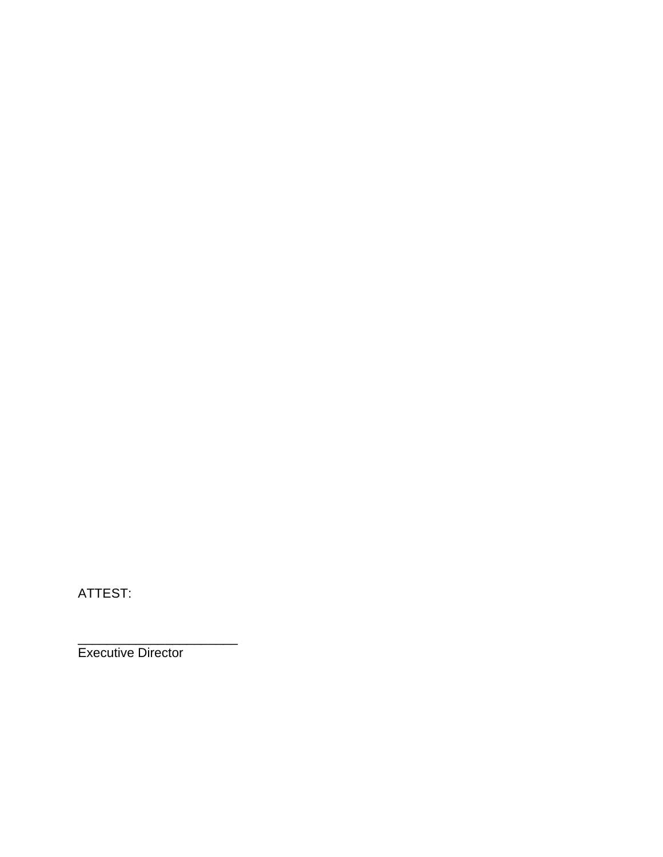ATTEST:

Executive Director

\_\_\_\_\_\_\_\_\_\_\_\_\_\_\_\_\_\_\_\_\_\_